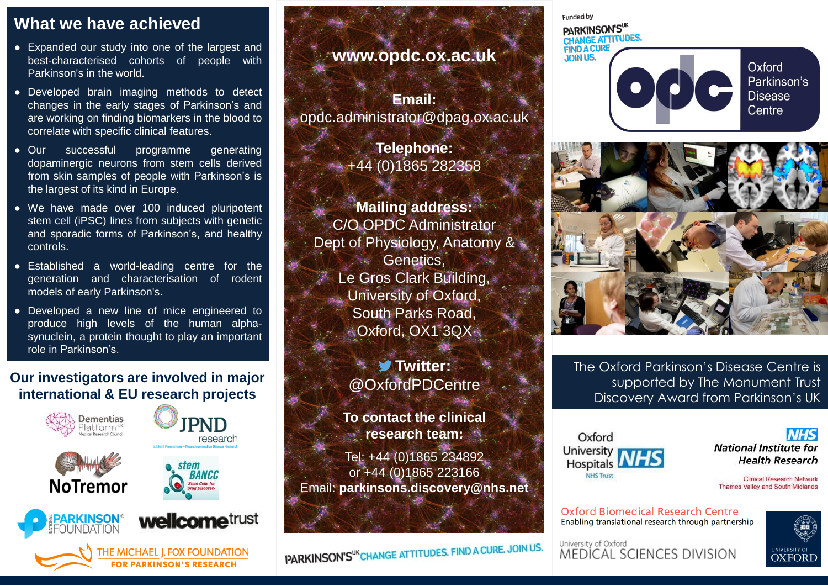#### **What we have achieved**

- Expanded our study into one of the largest and best-characterised cohorts of people with Parkinson's in the world.
- Developed brain imaging methods to detect changes in the early stages of Parkinson's and are working on finding biomarkers in the blood to correlate with specific clinical features.
- Our successful programme generating dopaminergic neurons from stem cells derived from skin samples of people with Parkinson's is the largest of its kind in Europe.
- We have made over 100 induced pluripotent stem cell (iPSC) lines from subjects with genetic and sporadic forms of Parkinson's, and healthy controls.
- Established a world-leading centre for the generation and characterisation of rodent models of early Parkinson's.
- Developed a new line of mice engineered to produce high levels of the human alphasynuclein, a protein thought to play an important role in Parkinson's.

#### **Our investigators are involved in major international & EU research projects**



**HE MICHAEL | FOX FOUNDATION PARKINSON'S RESEARCH** 

# **www.opdc.ox.ac.uk**

**Email:**  opdc.administrator@dpag.ox.ac.uk

> **Telephone:** +44 (0)1865 282358

**Mailing address:** C/O OPDC Administrator Dept of Physiology, Anatomy & **Genetics,** Le Gros Clark Building, University of Oxford, South Parks Road, Oxford, OX1 3QX

> **Twitter:** @OxfordPDCentre

**To contact the clinical research team:**

Tel: +44 (0)1865 234892 or +44 (0)1865 223166 Email: **parkinsons.discovery@nhs.net**

PARKINSON'S<sup>UK</sup>CHANGE ATTITUDES. FIND A CURE. JOIN US.

Funded by PARKINSON'SUK CHANGE ATTITUDES. **FIND A CURE JOIN US.** Oxford Parkinson's **Disease** Centre



The Oxford Parkinson's Disease Centre is supported by The Monument Trust Discovery Award from Parkinson's UK

Oxford University Hospitals L **NHS Trust** 



**Clinical Research Network Thames Valley and South Midlands** 

**Oxford Biomedical Research Centre** Enabling translational research through partnership

University of Oxford **MEDÍCAL SCIENCES DIVISION**